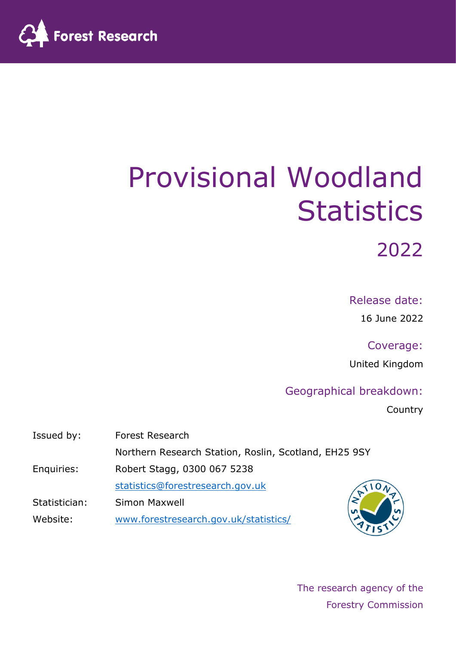

# Provisional Woodland **Statistics**

2022

Release date:

16 June 2022

Coverage: United Kingdom

#### Geographical breakdown:

Country

| Issued by:    | <b>Forest Research</b>                                |  |  |  |
|---------------|-------------------------------------------------------|--|--|--|
|               | Northern Research Station, Roslin, Scotland, EH25 9SY |  |  |  |
| Enquiries:    | Robert Stagg, 0300 067 5238                           |  |  |  |
|               | statistics@forestresearch.gov.uk                      |  |  |  |
| Statistician: | Simon Maxwell                                         |  |  |  |
| Website:      | www.forestresearch.gov.uk/statistics/                 |  |  |  |

The research agency of the Forestry Commission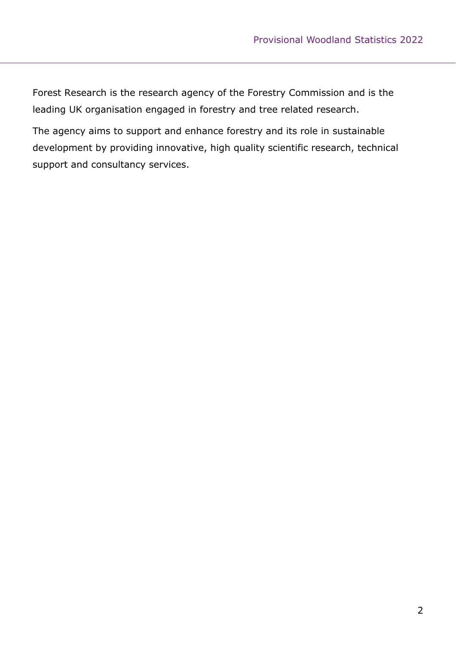Forest Research is the research agency of the Forestry Commission and is the leading UK organisation engaged in forestry and tree related research.

The agency aims to support and enhance forestry and its role in sustainable development by providing innovative, high quality scientific research, technical support and consultancy services.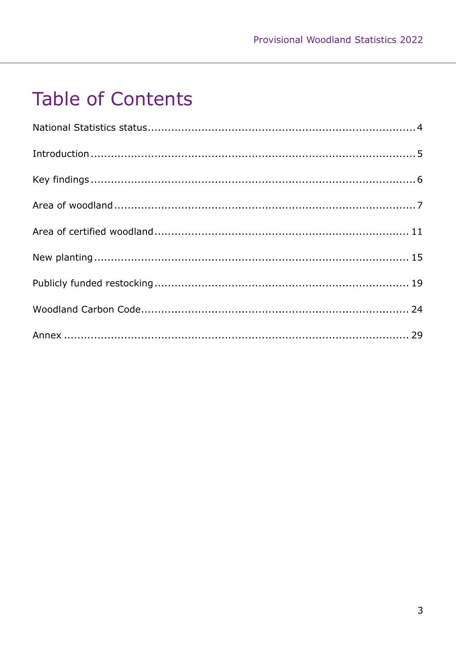# **Table of Contents**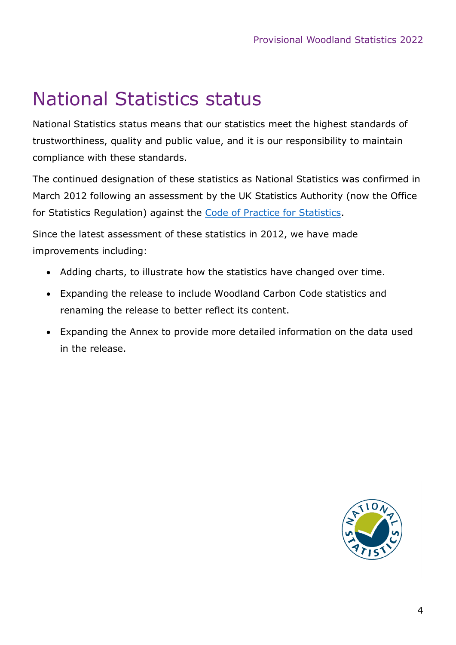# <span id="page-3-0"></span>National Statistics status

National Statistics status means that our statistics meet the highest standards of trustworthiness, quality and public value, and it is our responsibility to maintain compliance with these standards.

The continued designation of these statistics as National Statistics was confirmed in March 2012 following an assessment by the UK Statistics Authority (now the Office for Statistics Regulation) against the [Code of Practice for Statistics.](https://code.statisticsauthority.gov.uk/)

Since the latest assessment of these statistics in 2012, we have made improvements including:

- Adding charts, to illustrate how the statistics have changed over time.
- Expanding the release to include Woodland Carbon Code statistics and renaming the release to better reflect its content.
- Expanding the Annex to provide more detailed information on the data used in the release.

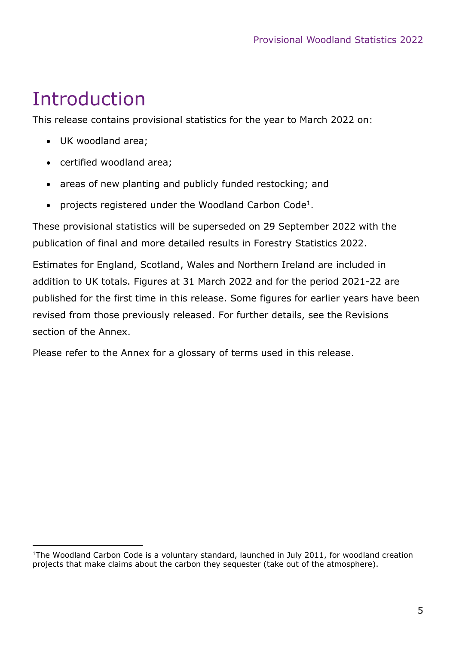# <span id="page-4-0"></span>Introduction

This release contains provisional statistics for the year to March 2022 on:

- UK woodland area;
- certified woodland area;
- areas of new planting and publicly funded restocking; and
- projects registered under the Woodland Carbon Code<sup>1</sup>.

These provisional statistics will be superseded on 29 September 2022 with the publication of final and more detailed results in Forestry Statistics 2022.

Estimates for England, Scotland, Wales and Northern Ireland are included in addition to UK totals. Figures at 31 March 2022 and for the period 2021-22 are published for the first time in this release. Some figures for earlier years have been revised from those previously released. For further details, see the Revisions section of the Annex.

Please refer to the Annex for a glossary of terms used in this release.

<sup>&</sup>lt;sup>1</sup>The Woodland Carbon Code is a voluntary standard, launched in July 2011, for woodland creation projects that make claims about the carbon they sequester (take out of the atmosphere).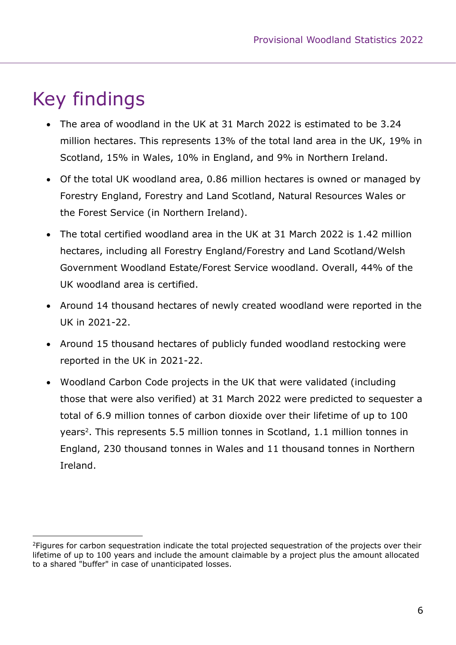# <span id="page-5-0"></span>Key findings

- The area of woodland in the UK at 31 March 2022 is estimated to be 3.24 million hectares. This represents 13% of the total land area in the UK, 19% in Scotland, 15% in Wales, 10% in England, and 9% in Northern Ireland.
- Of the total UK woodland area, 0.86 million hectares is owned or managed by Forestry England, Forestry and Land Scotland, Natural Resources Wales or the Forest Service (in Northern Ireland).
- The total certified woodland area in the UK at 31 March 2022 is 1.42 million hectares, including all Forestry England/Forestry and Land Scotland/Welsh Government Woodland Estate/Forest Service woodland. Overall, 44% of the UK woodland area is certified.
- Around 14 thousand hectares of newly created woodland were reported in the UK in 2021-22.
- Around 15 thousand hectares of publicly funded woodland restocking were reported in the UK in 2021-22.
- Woodland Carbon Code projects in the UK that were validated (including those that were also verified) at 31 March 2022 were predicted to sequester a total of 6.9 million tonnes of carbon dioxide over their lifetime of up to 100 years<sup>2</sup>. This represents 5.5 million tonnes in Scotland, 1.1 million tonnes in England, 230 thousand tonnes in Wales and 11 thousand tonnes in Northern Ireland.

<sup>&</sup>lt;sup>2</sup>Figures for carbon sequestration indicate the total projected sequestration of the projects over their lifetime of up to 100 years and include the amount claimable by a project plus the amount allocated to a shared "buffer" in case of unanticipated losses.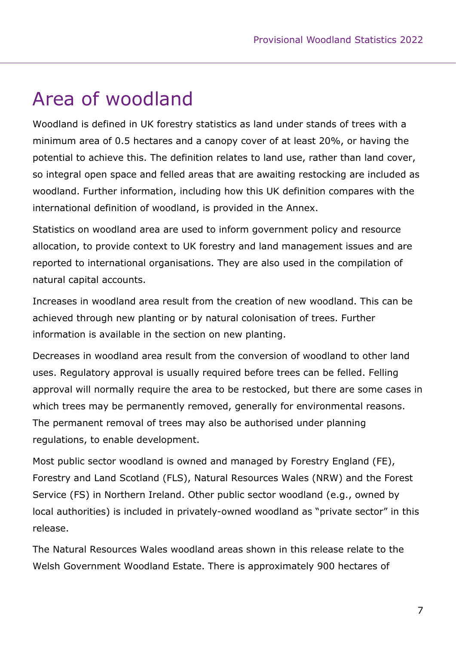# <span id="page-6-0"></span>Area of woodland

Woodland is defined in UK forestry statistics as land under stands of trees with a minimum area of 0.5 hectares and a canopy cover of at least 20%, or having the potential to achieve this. The definition relates to land use, rather than land cover, so integral open space and felled areas that are awaiting restocking are included as woodland. Further information, including how this UK definition compares with the international definition of woodland, is provided in the Annex.

Statistics on woodland area are used to inform government policy and resource allocation, to provide context to UK forestry and land management issues and are reported to international organisations. They are also used in the compilation of natural capital accounts.

Increases in woodland area result from the creation of new woodland. This can be achieved through new planting or by natural colonisation of trees. Further information is available in the section on new planting.

Decreases in woodland area result from the conversion of woodland to other land uses. Regulatory approval is usually required before trees can be felled. Felling approval will normally require the area to be restocked, but there are some cases in which trees may be permanently removed, generally for environmental reasons. The permanent removal of trees may also be authorised under planning regulations, to enable development.

Most public sector woodland is owned and managed by Forestry England (FE), Forestry and Land Scotland (FLS), Natural Resources Wales (NRW) and the Forest Service (FS) in Northern Ireland. Other public sector woodland (e.g., owned by local authorities) is included in privately-owned woodland as "private sector" in this release.

The Natural Resources Wales woodland areas shown in this release relate to the Welsh Government Woodland Estate. There is approximately 900 hectares of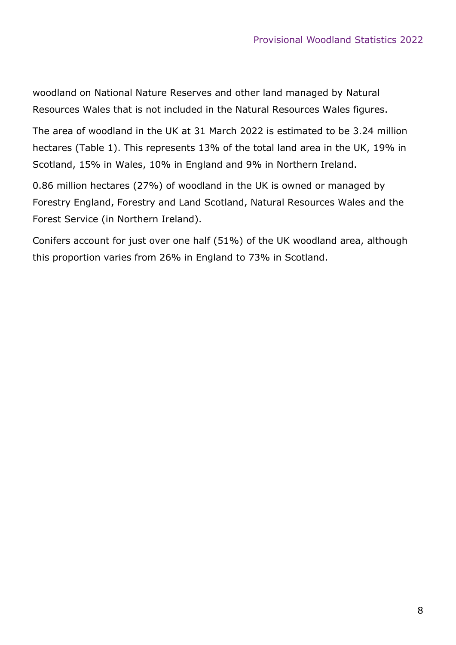woodland on National Nature Reserves and other land managed by Natural Resources Wales that is not included in the Natural Resources Wales figures.

The area of woodland in the UK at 31 March 2022 is estimated to be 3.24 million hectares (Table 1). This represents 13% of the total land area in the UK, 19% in Scotland, 15% in Wales, 10% in England and 9% in Northern Ireland.

0.86 million hectares (27%) of woodland in the UK is owned or managed by Forestry England, Forestry and Land Scotland, Natural Resources Wales and the Forest Service (in Northern Ireland).

Conifers account for just over one half (51%) of the UK woodland area, although this proportion varies from 26% in England to 73% in Scotland.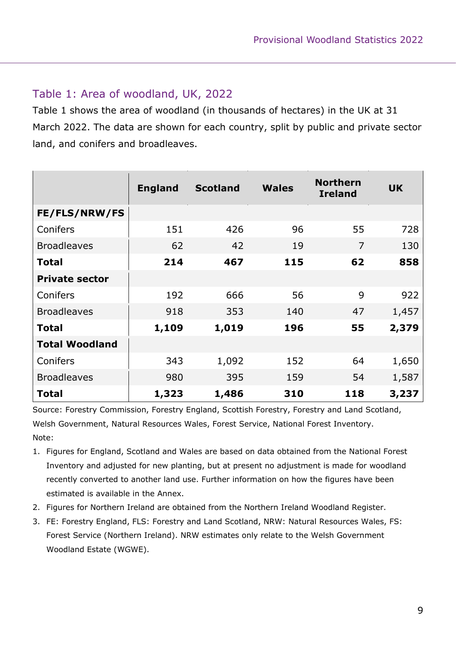#### Table 1: Area of woodland, UK, 2022

Table 1 shows the area of woodland (in thousands of hectares) in the UK at 31 March 2022. The data are shown for each country, split by public and private sector land, and conifers and broadleaves.

|                       | <b>England</b> | <b>Scotland</b> | <b>Wales</b> | <b>Northern</b><br><b>Ireland</b> | <b>UK</b> |
|-----------------------|----------------|-----------------|--------------|-----------------------------------|-----------|
| FE/FLS/NRW/FS         |                |                 |              |                                   |           |
| Conifers              | 151            | 426             | 96           | 55                                | 728       |
| <b>Broadleaves</b>    | 62             | 42              | 19           | $\overline{7}$                    | 130       |
| <b>Total</b>          | 214            | 467             | 115          | 62                                | 858       |
| <b>Private sector</b> |                |                 |              |                                   |           |
| Conifers              | 192            | 666             | 56           | 9                                 | 922       |
| <b>Broadleaves</b>    | 918            | 353             | 140          | 47                                | 1,457     |
| <b>Total</b>          | 1,109          | 1,019           | 196          | 55                                | 2,379     |
| <b>Total Woodland</b> |                |                 |              |                                   |           |
| Conifers              | 343            | 1,092           | 152          | 64                                | 1,650     |
| <b>Broadleaves</b>    | 980            | 395             | 159          | 54                                | 1,587     |
| <b>Total</b>          | 1,323          | 1,486           | 310          | 118                               | 3,237     |

Source: Forestry Commission, Forestry England, Scottish Forestry, Forestry and Land Scotland, Welsh Government, Natural Resources Wales, Forest Service, National Forest Inventory. Note:

- 1. Figures for England, Scotland and Wales are based on data obtained from the National Forest Inventory and adjusted for new planting, but at present no adjustment is made for woodland recently converted to another land use. Further information on how the figures have been estimated is available in the Annex.
- 2. Figures for Northern Ireland are obtained from the Northern Ireland Woodland Register.
- 3. FE: Forestry England, FLS: Forestry and Land Scotland, NRW: Natural Resources Wales, FS: Forest Service (Northern Ireland). NRW estimates only relate to the Welsh Government Woodland Estate (WGWE).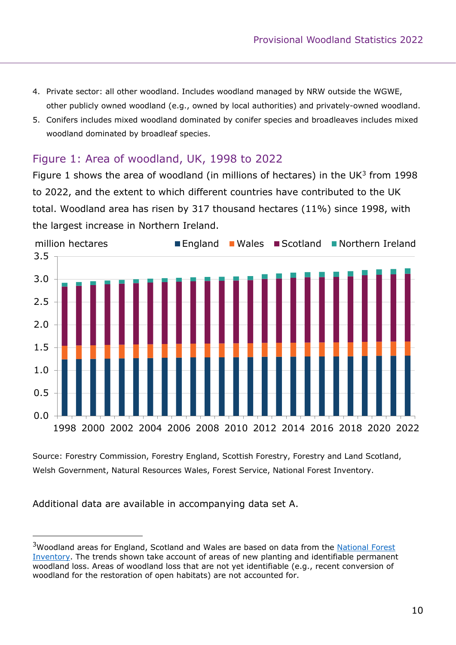- 4. Private sector: all other woodland. Includes woodland managed by NRW outside the WGWE, other publicly owned woodland (e.g., owned by local authorities) and privately-owned woodland.
- 5. Conifers includes mixed woodland dominated by conifer species and broadleaves includes mixed woodland dominated by broadleaf species.

#### Figure 1: Area of woodland, UK, 1998 to 2022

Figure 1 shows the area of woodland (in millions of hectares) in the UK $3$  from 1998 to 2022, and the extent to which different countries have contributed to the UK total. Woodland area has risen by 317 thousand hectares (11%) since 1998, with the largest increase in Northern Ireland.



Source: Forestry Commission, Forestry England, Scottish Forestry, Forestry and Land Scotland, Welsh Government, Natural Resources Wales, Forest Service, National Forest Inventory.

Additional data are available in accompanying data set A.

<sup>&</sup>lt;sup>3</sup>Woodland areas for England, Scotland and Wales are based on data from the National Forest [Inventory.](http://www.forestresearch.gov.uk/tools-and-resources/national-forest-inventory/) The trends shown take account of areas of new planting and identifiable permanent woodland loss. Areas of woodland loss that are not yet identifiable (e.g., recent conversion of woodland for the restoration of open habitats) are not accounted for.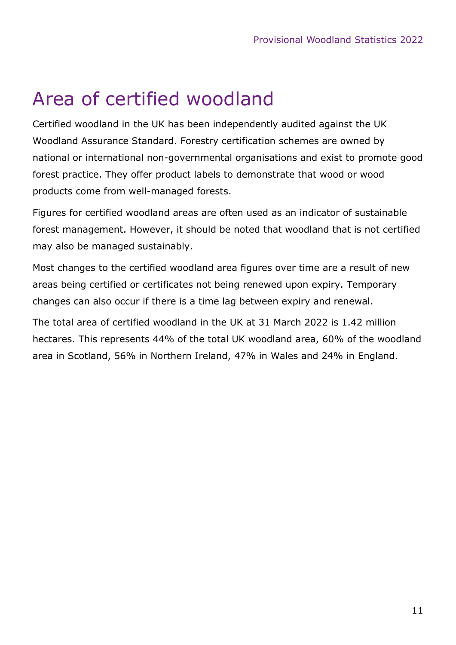### <span id="page-10-0"></span>Area of certified woodland

Certified woodland in the UK has been independently audited against the UK Woodland Assurance Standard. Forestry certification schemes are owned by national or international non-governmental organisations and exist to promote good forest practice. They offer product labels to demonstrate that wood or wood products come from well-managed forests.

Figures for certified woodland areas are often used as an indicator of sustainable forest management. However, it should be noted that woodland that is not certified may also be managed sustainably.

Most changes to the certified woodland area figures over time are a result of new areas being certified or certificates not being renewed upon expiry. Temporary changes can also occur if there is a time lag between expiry and renewal.

The total area of certified woodland in the UK at 31 March 2022 is 1.42 million hectares. This represents 44% of the total UK woodland area, 60% of the woodland area in Scotland, 56% in Northern Ireland, 47% in Wales and 24% in England.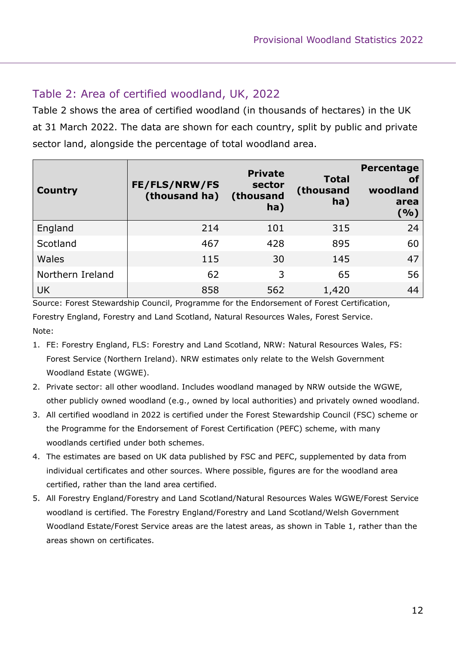#### Table 2: Area of certified woodland, UK, 2022

Table 2 shows the area of certified woodland (in thousands of hectares) in the UK at 31 March 2022. The data are shown for each country, split by public and private sector land, alongside the percentage of total woodland area.

| <b>Country</b>   | FE/FLS/NRW/FS<br>(thousand ha) | <b>Private</b><br>sector<br>(thousand<br>ha) | <b>Total</b><br>(thousand<br>ha) | Percentage<br><b>of</b><br>woodland<br>area<br>( %) |
|------------------|--------------------------------|----------------------------------------------|----------------------------------|-----------------------------------------------------|
| England          | 214                            | 101                                          | 315                              | 24                                                  |
| Scotland         | 467                            | 428                                          | 895                              | 60                                                  |
| <b>Wales</b>     | 115                            | 30                                           | 145                              | 47                                                  |
| Northern Ireland | 62                             | 3                                            | 65                               | 56                                                  |
| <b>UK</b>        | 858                            | 562                                          | 1,420                            | 44                                                  |

Source: Forest Stewardship Council, Programme for the Endorsement of Forest Certification, Forestry England, Forestry and Land Scotland, Natural Resources Wales, Forest Service. Note:

- 1. FE: Forestry England, FLS: Forestry and Land Scotland, NRW: Natural Resources Wales, FS: Forest Service (Northern Ireland). NRW estimates only relate to the Welsh Government Woodland Estate (WGWE).
- 2. Private sector: all other woodland. Includes woodland managed by NRW outside the WGWE, other publicly owned woodland (e.g., owned by local authorities) and privately owned woodland.
- 3. All certified woodland in 2022 is certified under the Forest Stewardship Council (FSC) scheme or the Programme for the Endorsement of Forest Certification (PEFC) scheme, with many woodlands certified under both schemes.
- 4. The estimates are based on UK data published by FSC and PEFC, supplemented by data from individual certificates and other sources. Where possible, figures are for the woodland area certified, rather than the land area certified.
- 5. All Forestry England/Forestry and Land Scotland/Natural Resources Wales WGWE/Forest Service woodland is certified. The Forestry England/Forestry and Land Scotland/Welsh Government Woodland Estate/Forest Service areas are the latest areas, as shown in Table 1, rather than the areas shown on certificates.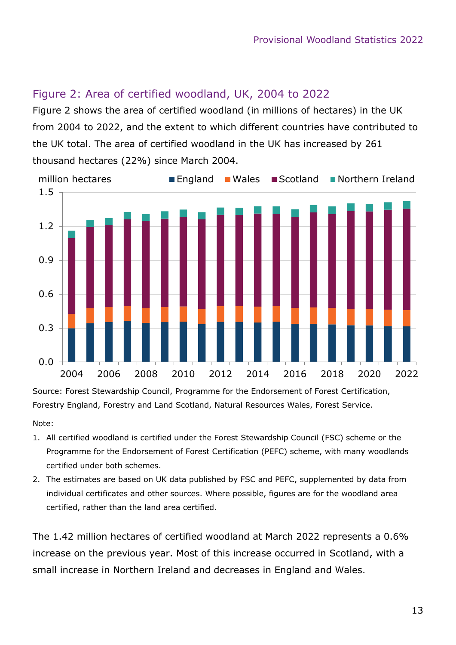#### Figure 2: Area of certified woodland, UK, 2004 to 2022

Figure 2 shows the area of certified woodland (in millions of hectares) in the UK from 2004 to 2022, and the extent to which different countries have contributed to the UK total. The area of certified woodland in the UK has increased by 261 thousand hectares (22%) since March 2004.



Source: Forest Stewardship Council, Programme for the Endorsement of Forest Certification, Forestry England, Forestry and Land Scotland, Natural Resources Wales, Forest Service.

Note:

- 1. All certified woodland is certified under the Forest Stewardship Council (FSC) scheme or the Programme for the Endorsement of Forest Certification (PEFC) scheme, with many woodlands certified under both schemes.
- 2. The estimates are based on UK data published by FSC and PEFC, supplemented by data from individual certificates and other sources. Where possible, figures are for the woodland area certified, rather than the land area certified.

The 1.42 million hectares of certified woodland at March 2022 represents a 0.6% increase on the previous year. Most of this increase occurred in Scotland, with a small increase in Northern Ireland and decreases in England and Wales.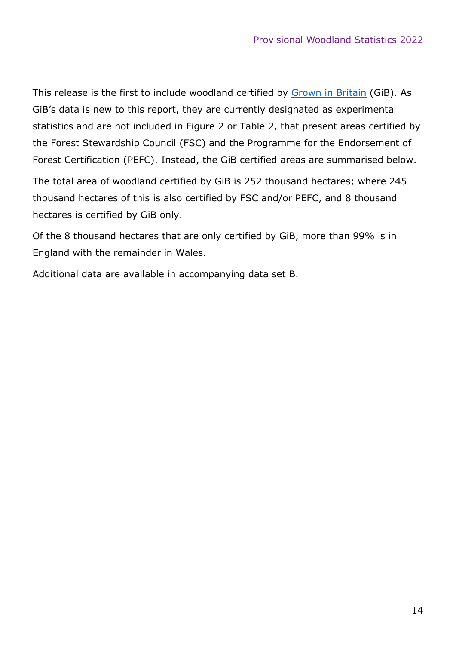This release is the first to include woodland certified by [Grown in Britain](https://www.growninbritain.org/) (GiB). As GiB's data is new to this report, they are currently designated as experimental statistics and are not included in Figure 2 or Table 2, that present areas certified by the Forest Stewardship Council (FSC) and the Programme for the Endorsement of Forest Certification (PEFC). Instead, the GiB certified areas are summarised below.

The total area of woodland certified by GiB is 252 thousand hectares; where 245 thousand hectares of this is also certified by FSC and/or PEFC, and 8 thousand hectares is certified by GiB only.

Of the 8 thousand hectares that are only certified by GiB, more than 99% is in England with the remainder in Wales.

Additional data are available in accompanying data set B.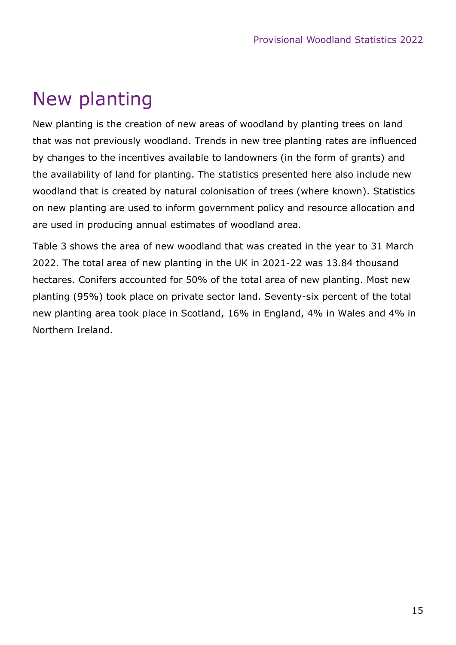# <span id="page-14-0"></span>New planting

New planting is the creation of new areas of woodland by planting trees on land that was not previously woodland. Trends in new tree planting rates are influenced by changes to the incentives available to landowners (in the form of grants) and the availability of land for planting. The statistics presented here also include new woodland that is created by natural colonisation of trees (where known). Statistics on new planting are used to inform government policy and resource allocation and are used in producing annual estimates of woodland area.

Table 3 shows the area of new woodland that was created in the year to 31 March 2022. The total area of new planting in the UK in 2021-22 was 13.84 thousand hectares. Conifers accounted for 50% of the total area of new planting. Most new planting (95%) took place on private sector land. Seventy-six percent of the total new planting area took place in Scotland, 16% in England, 4% in Wales and 4% in Northern Ireland.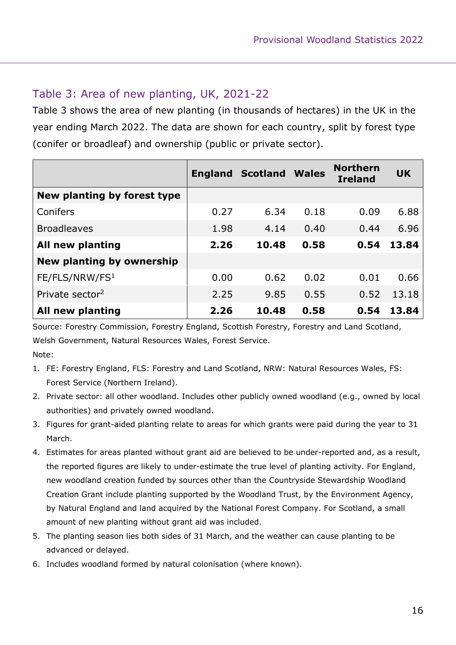#### Table 3: Area of new planting, UK, 2021-22

Table 3 shows the area of new planting (in thousands of hectares) in the UK in the year ending March 2022. The data are shown for each country, split by forest type (conifer or broadleaf) and ownership (public or private sector).

|                             |      | <b>England Scotland</b> | <b>Wales</b> | <b>Northern</b><br><b>Ireland</b> | <b>UK</b> |
|-----------------------------|------|-------------------------|--------------|-----------------------------------|-----------|
| New planting by forest type |      |                         |              |                                   |           |
| Conifers                    | 0.27 | 6.34                    | 0.18         | 0.09                              | 6.88      |
| <b>Broadleaves</b>          | 1.98 | 4.14                    | 0.40         | 0.44                              | 6.96      |
| All new planting            | 2.26 | 10.48                   | 0.58         | 0.54                              | 13.84     |
| New planting by ownership   |      |                         |              |                                   |           |
| FE/FLS/NRW/FS <sup>1</sup>  | 0.00 | 0.62                    | 0.02         | 0.01                              | 0.66      |
| Private sector <sup>2</sup> | 2.25 | 9.85                    | 0.55         | 0.52                              | 13.18     |
| All new planting            | 2.26 | 10.48                   | 0.58         | 0.54                              | 13.84     |

Source: Forestry Commission, Forestry England, Scottish Forestry, Forestry and Land Scotland, Welsh Government, Natural Resources Wales, Forest Service. Note:

- 1. FE: Forestry England, FLS: Forestry and Land Scotland, NRW: Natural Resources Wales, FS: Forest Service (Northern Ireland).
- 2. Private sector: all other woodland. Includes other publicly owned woodland (e.g., owned by local authorities) and privately owned woodland.
- 3. Figures for grant-aided planting relate to areas for which grants were paid during the year to 31 March.
- 4. Estimates for areas planted without grant aid are believed to be under-reported and, as a result, the reported figures are likely to under-estimate the true level of planting activity. For England, new woodland creation funded by sources other than the Countryside Stewardship Woodland Creation Grant include planting supported by the Woodland Trust, by the Environment Agency, by Natural England and land acquired by the National Forest Company. For Scotland, a small amount of new planting without grant aid was included.
- 5. The planting season lies both sides of 31 March, and the weather can cause planting to be advanced or delayed.
- 6. Includes woodland formed by natural colonisation (where known).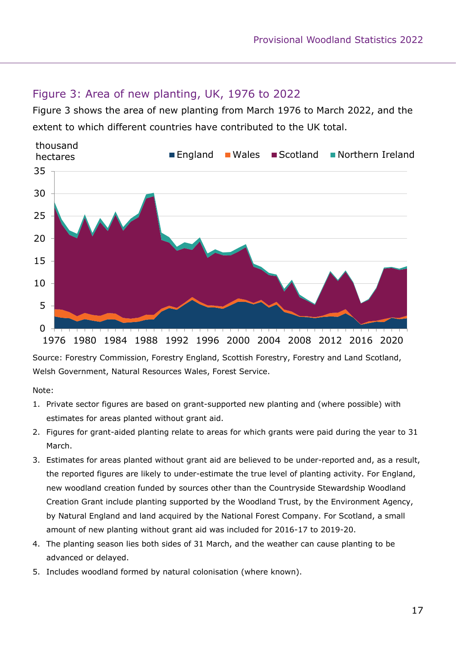#### Figure 3: Area of new planting, UK, 1976 to 2022

Figure 3 shows the area of new planting from March 1976 to March 2022, and the extent to which different countries have contributed to the UK total.



Source: Forestry Commission, Forestry England, Scottish Forestry, Forestry and Land Scotland, Welsh Government, Natural Resources Wales, Forest Service.

Note:

- 1. Private sector figures are based on grant-supported new planting and (where possible) with estimates for areas planted without grant aid.
- 2. Figures for grant-aided planting relate to areas for which grants were paid during the year to 31 March.
- 3. Estimates for areas planted without grant aid are believed to be under-reported and, as a result, the reported figures are likely to under-estimate the true level of planting activity. For England, new woodland creation funded by sources other than the Countryside Stewardship Woodland Creation Grant include planting supported by the Woodland Trust, by the Environment Agency, by Natural England and land acquired by the National Forest Company. For Scotland, a small amount of new planting without grant aid was included for 2016-17 to 2019-20.
- 4. The planting season lies both sides of 31 March, and the weather can cause planting to be advanced or delayed.
- 5. Includes woodland formed by natural colonisation (where known).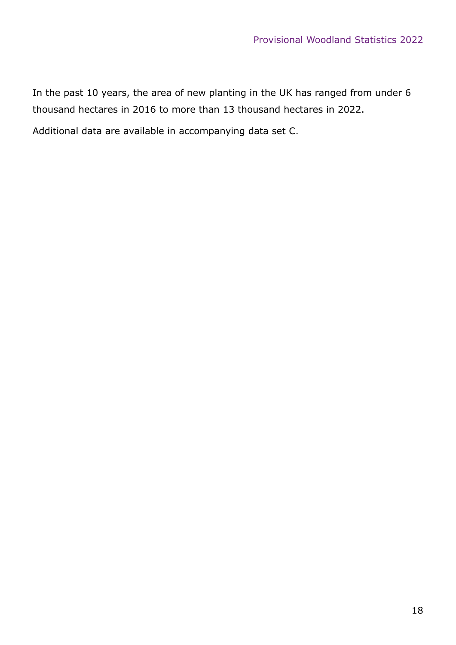In the past 10 years, the area of new planting in the UK has ranged from under 6 thousand hectares in 2016 to more than 13 thousand hectares in 2022.

Additional data are available in accompanying data set C.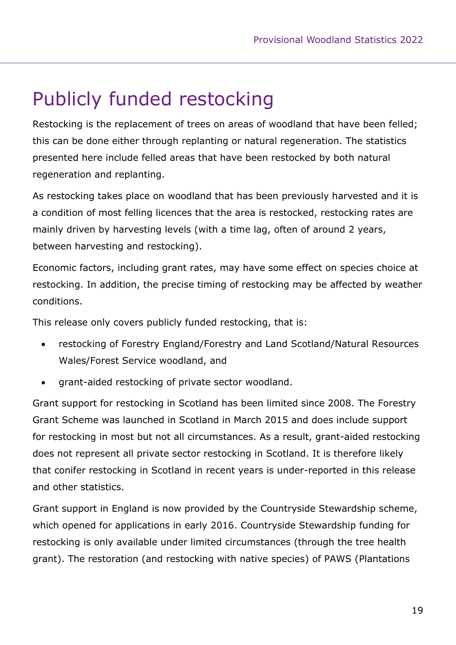# <span id="page-18-0"></span>Publicly funded restocking

Restocking is the replacement of trees on areas of woodland that have been felled; this can be done either through replanting or natural regeneration. The statistics presented here include felled areas that have been restocked by both natural regeneration and replanting.

As restocking takes place on woodland that has been previously harvested and it is a condition of most felling licences that the area is restocked, restocking rates are mainly driven by harvesting levels (with a time lag, often of around 2 years, between harvesting and restocking).

Economic factors, including grant rates, may have some effect on species choice at restocking. In addition, the precise timing of restocking may be affected by weather conditions.

This release only covers publicly funded restocking, that is:

- restocking of Forestry England/Forestry and Land Scotland/Natural Resources Wales/Forest Service woodland, and
- grant-aided restocking of private sector woodland.

Grant support for restocking in Scotland has been limited since 2008. The Forestry Grant Scheme was launched in Scotland in March 2015 and does include support for restocking in most but not all circumstances. As a result, grant-aided restocking does not represent all private sector restocking in Scotland. It is therefore likely that conifer restocking in Scotland in recent years is under-reported in this release and other statistics.

Grant support in England is now provided by the Countryside Stewardship scheme, which opened for applications in early 2016. Countryside Stewardship funding for restocking is only available under limited circumstances (through the tree health grant). The restoration (and restocking with native species) of PAWS (Plantations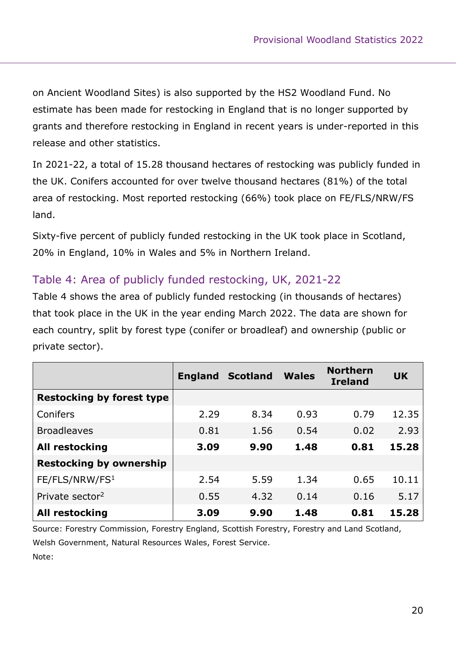on Ancient Woodland Sites) is also supported by the HS2 Woodland Fund. No estimate has been made for restocking in England that is no longer supported by grants and therefore restocking in England in recent years is under-reported in this release and other statistics.

In 2021-22, a total of 15.28 thousand hectares of restocking was publicly funded in the UK. Conifers accounted for over twelve thousand hectares (81%) of the total area of restocking. Most reported restocking (66%) took place on FE/FLS/NRW/FS land.

Sixty-five percent of publicly funded restocking in the UK took place in Scotland, 20% in England, 10% in Wales and 5% in Northern Ireland.

#### Table 4: Area of publicly funded restocking, UK, 2021-22

Table 4 shows the area of publicly funded restocking (in thousands of hectares) that took place in the UK in the year ending March 2022. The data are shown for each country, split by forest type (conifer or broadleaf) and ownership (public or private sector).

|                                  | <b>England</b> | <b>Scotland</b> | <b>Wales</b> | <b>Northern</b><br><b>Ireland</b> | <b>UK</b> |
|----------------------------------|----------------|-----------------|--------------|-----------------------------------|-----------|
| <b>Restocking by forest type</b> |                |                 |              |                                   |           |
| Conifers                         | 2.29           | 8.34            | 0.93         | 0.79                              | 12.35     |
| <b>Broadleaves</b>               | 0.81           | 1.56            | 0.54         | 0.02                              | 2.93      |
| <b>All restocking</b>            | 3.09           | 9.90            | 1.48         | 0.81                              | 15.28     |
| <b>Restocking by ownership</b>   |                |                 |              |                                   |           |
| FE/FLS/NRW/FS <sup>1</sup>       | 2.54           | 5.59            | 1.34         | 0.65                              | 10.11     |
| Private sector <sup>2</sup>      | 0.55           | 4.32            | 0.14         | 0.16                              | 5.17      |
| <b>All restocking</b>            | 3.09           | 9.90            | 1.48         | 0.81                              | 15.28     |

Source: Forestry Commission, Forestry England, Scottish Forestry, Forestry and Land Scotland, Welsh Government, Natural Resources Wales, Forest Service. Note: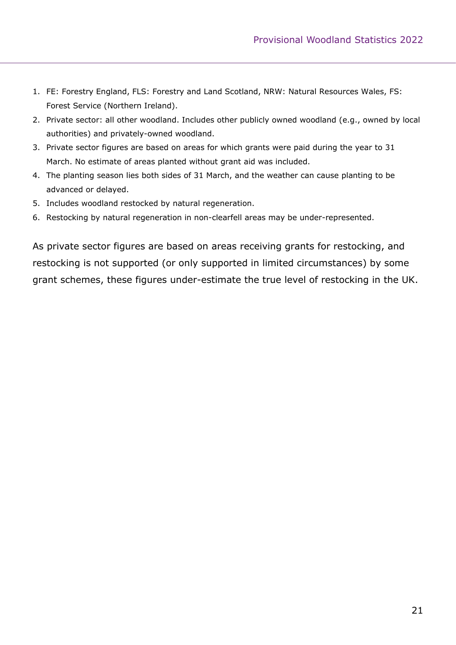- 1. FE: Forestry England, FLS: Forestry and Land Scotland, NRW: Natural Resources Wales, FS: Forest Service (Northern Ireland).
- 2. Private sector: all other woodland. Includes other publicly owned woodland (e.g., owned by local authorities) and privately-owned woodland.
- 3. Private sector figures are based on areas for which grants were paid during the year to 31 March. No estimate of areas planted without grant aid was included.
- 4. The planting season lies both sides of 31 March, and the weather can cause planting to be advanced or delayed.
- 5. Includes woodland restocked by natural regeneration.
- 6. Restocking by natural regeneration in non-clearfell areas may be under-represented.

As private sector figures are based on areas receiving grants for restocking, and restocking is not supported (or only supported in limited circumstances) by some grant schemes, these figures under-estimate the true level of restocking in the UK.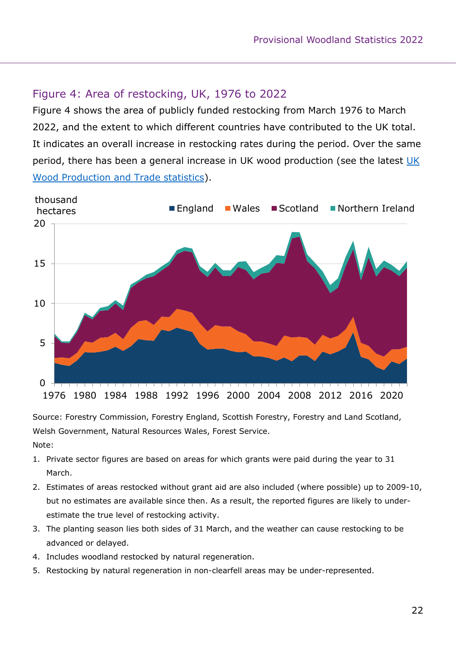#### Figure 4: Area of restocking, UK, 1976 to 2022

Figure 4 shows the area of publicly funded restocking from March 1976 to March 2022, and the extent to which different countries have contributed to the UK total. It indicates an overall increase in restocking rates during the period. Over the same period, there has been a general increase in [UK](http://www.forestresearch.gov.uk/tools-and-resources/statistics/statistics-by-topic/timber-statistics/uk-wood-production-and-trade-provisional-figures/) wood production (see the latest UK [Wood Production and Trade statistics\)](http://www.forestresearch.gov.uk/tools-and-resources/statistics/statistics-by-topic/timber-statistics/uk-wood-production-and-trade-provisional-figures/).



Source: Forestry Commission, Forestry England, Scottish Forestry, Forestry and Land Scotland, Welsh Government, Natural Resources Wales, Forest Service. Note:

- 1. Private sector figures are based on areas for which grants were paid during the year to 31 March.
- 2. Estimates of areas restocked without grant aid are also included (where possible) up to 2009-10, but no estimates are available since then. As a result, the reported figures are likely to underestimate the true level of restocking activity.
- 3. The planting season lies both sides of 31 March, and the weather can cause restocking to be advanced or delayed.
- 4. Includes woodland restocked by natural regeneration.
- 5. Restocking by natural regeneration in non-clearfell areas may be under-represented.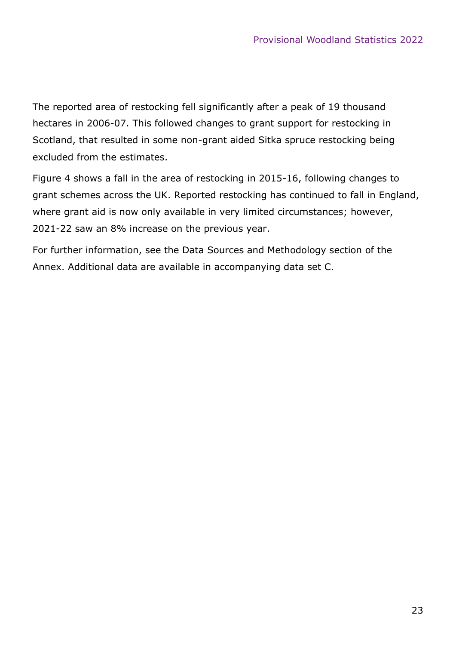The reported area of restocking fell significantly after a peak of 19 thousand hectares in 2006-07. This followed changes to grant support for restocking in Scotland, that resulted in some non-grant aided Sitka spruce restocking being excluded from the estimates.

Figure 4 shows a fall in the area of restocking in 2015-16, following changes to grant schemes across the UK. Reported restocking has continued to fall in England, where grant aid is now only available in very limited circumstances; however, 2021-22 saw an 8% increase on the previous year.

For further information, see the Data Sources and Methodology section of the Annex. Additional data are available in accompanying data set C.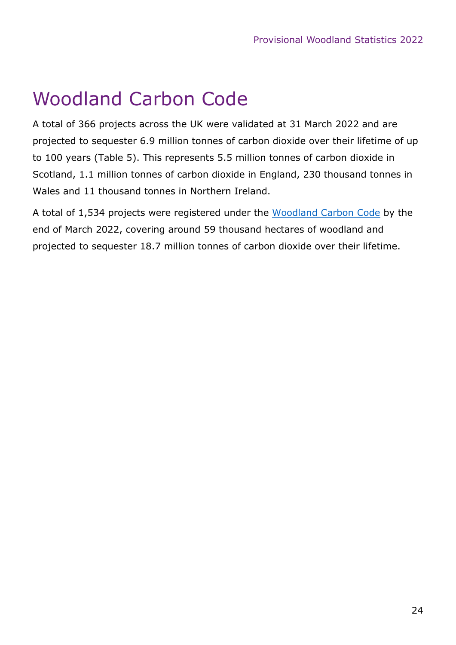# <span id="page-23-0"></span>Woodland Carbon Code

A total of 366 projects across the UK were validated at 31 March 2022 and are projected to sequester 6.9 million tonnes of carbon dioxide over their lifetime of up to 100 years (Table 5). This represents 5.5 million tonnes of carbon dioxide in Scotland, 1.1 million tonnes of carbon dioxide in England, 230 thousand tonnes in Wales and 11 thousand tonnes in Northern Ireland.

A total of 1,534 projects were registered under the [Woodland Carbon Code](http://www.woodlandcarboncode.org.uk/) by the end of March 2022, covering around 59 thousand hectares of woodland and projected to sequester 18.7 million tonnes of carbon dioxide over their lifetime.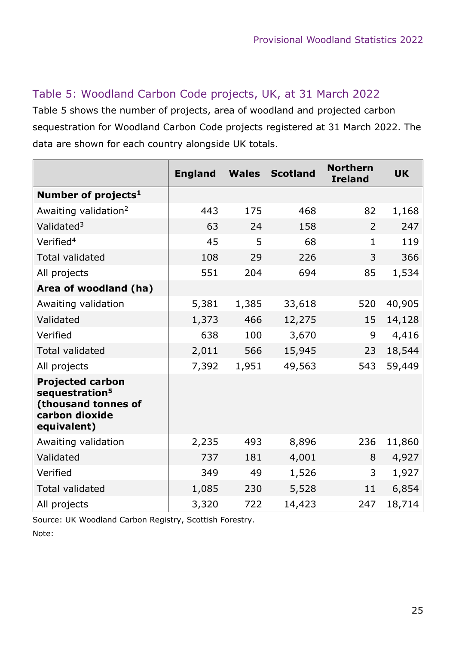#### Table 5: Woodland Carbon Code projects, UK, at 31 March 2022

Table 5 shows the number of projects, area of woodland and projected carbon sequestration for Woodland Carbon Code projects registered at 31 March 2022. The data are shown for each country alongside UK totals.

|                                                                                                               | <b>England</b> | <b>Wales</b> | <b>Scotland</b> | <b>Northern</b><br><b>Ireland</b> | <b>UK</b> |
|---------------------------------------------------------------------------------------------------------------|----------------|--------------|-----------------|-----------------------------------|-----------|
| Number of projects <sup>1</sup>                                                                               |                |              |                 |                                   |           |
| Awaiting validation <sup>2</sup>                                                                              | 443            | 175          | 468             | 82                                | 1,168     |
| Validated <sup>3</sup>                                                                                        | 63             | 24           | 158             | $\overline{2}$                    | 247       |
| Verified <sup>4</sup>                                                                                         | 45             | 5            | 68              | $\mathbf{1}$                      | 119       |
| <b>Total validated</b>                                                                                        | 108            | 29           | 226             | 3                                 | 366       |
| All projects                                                                                                  | 551            | 204          | 694             | 85                                | 1,534     |
| Area of woodland (ha)                                                                                         |                |              |                 |                                   |           |
| Awaiting validation                                                                                           | 5,381          | 1,385        | 33,618          | 520                               | 40,905    |
| Validated                                                                                                     | 1,373          | 466          | 12,275          | 15                                | 14,128    |
| Verified                                                                                                      | 638            | 100          | 3,670           | 9                                 | 4,416     |
| <b>Total validated</b>                                                                                        | 2,011          | 566          | 15,945          | 23                                | 18,544    |
| All projects                                                                                                  | 7,392          | 1,951        | 49,563          | 543                               | 59,449    |
| <b>Projected carbon</b><br>sequestration <sup>5</sup><br>(thousand tonnes of<br>carbon dioxide<br>equivalent) |                |              |                 |                                   |           |
| Awaiting validation                                                                                           | 2,235          | 493          | 8,896           | 236                               | 11,860    |
| Validated                                                                                                     | 737            | 181          | 4,001           | 8                                 | 4,927     |
| Verified                                                                                                      | 349            | 49           | 1,526           | 3                                 | 1,927     |
| <b>Total validated</b>                                                                                        | 1,085          | 230          | 5,528           | 11                                | 6,854     |
| All projects                                                                                                  | 3,320          | 722          | 14,423          | 247                               | 18,714    |

Source: UK Woodland Carbon Registry, Scottish Forestry. Note: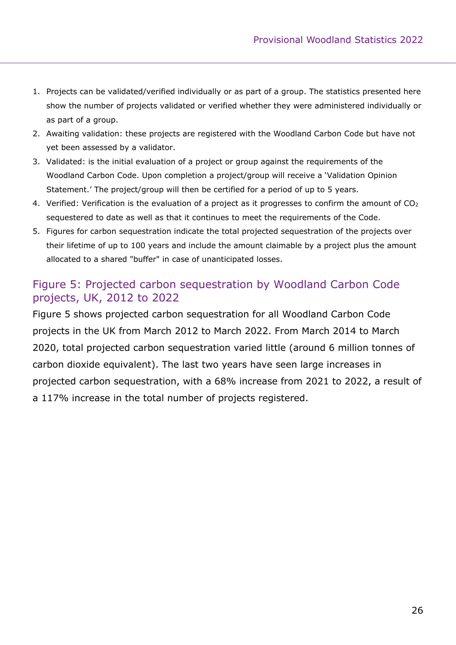- 1. Projects can be validated/verified individually or as part of a group. The statistics presented here show the number of projects validated or verified whether they were administered individually or as part of a group.
- 2. Awaiting validation: these projects are registered with the Woodland Carbon Code but have not yet been assessed by a validator.
- 3. Validated: is the initial evaluation of a project or group against the requirements of the Woodland Carbon Code. Upon completion a project/group will receive a 'Validation Opinion Statement.' The project/group will then be certified for a period of up to 5 years.
- 4. Verified: Verification is the evaluation of a project as it progresses to confirm the amount of CO<sup>2</sup> sequestered to date as well as that it continues to meet the requirements of the Code.
- 5. Figures for carbon sequestration indicate the total projected sequestration of the projects over their lifetime of up to 100 years and include the amount claimable by a project plus the amount allocated to a shared "buffer" in case of unanticipated losses.

#### Figure 5: Projected carbon sequestration by Woodland Carbon Code projects, UK, 2012 to 2022

Figure 5 shows projected carbon sequestration for all Woodland Carbon Code projects in the UK from March 2012 to March 2022. From March 2014 to March 2020, total projected carbon sequestration varied little (around 6 million tonnes of carbon dioxide equivalent). The last two years have seen large increases in projected carbon sequestration, with a 68% increase from 2021 to 2022, a result of a 117% increase in the total number of projects registered.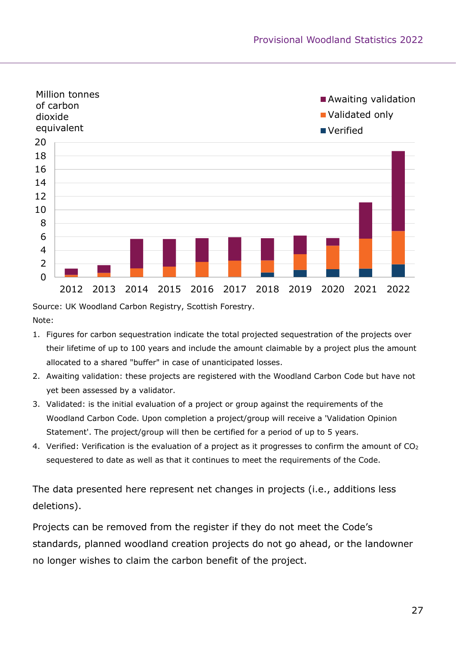

Source: UK Woodland Carbon Registry, Scottish Forestry.

Note:

- 1. Figures for carbon sequestration indicate the total projected sequestration of the projects over their lifetime of up to 100 years and include the amount claimable by a project plus the amount allocated to a shared "buffer" in case of unanticipated losses.
- 2. Awaiting validation: these projects are registered with the Woodland Carbon Code but have not yet been assessed by a validator.
- 3. Validated: is the initial evaluation of a project or group against the requirements of the Woodland Carbon Code. Upon completion a project/group will receive a 'Validation Opinion Statement'. The project/group will then be certified for a period of up to 5 years.
- 4. Verified: Verification is the evaluation of a project as it progresses to confirm the amount of CO<sup>2</sup> sequestered to date as well as that it continues to meet the requirements of the Code.

The data presented here represent net changes in projects (i.e., additions less deletions).

Projects can be removed from the register if they do not meet the Code's standards, planned woodland creation projects do not go ahead, or the landowner no longer wishes to claim the carbon benefit of the project.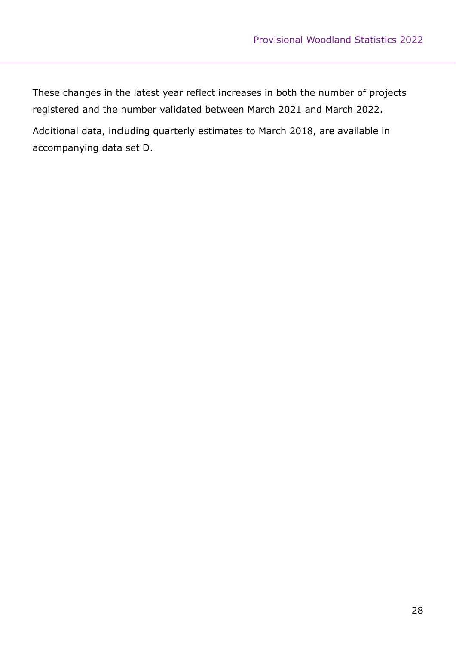These changes in the latest year reflect increases in both the number of projects registered and the number validated between March 2021 and March 2022. Additional data, including quarterly estimates to March 2018, are available in accompanying data set D.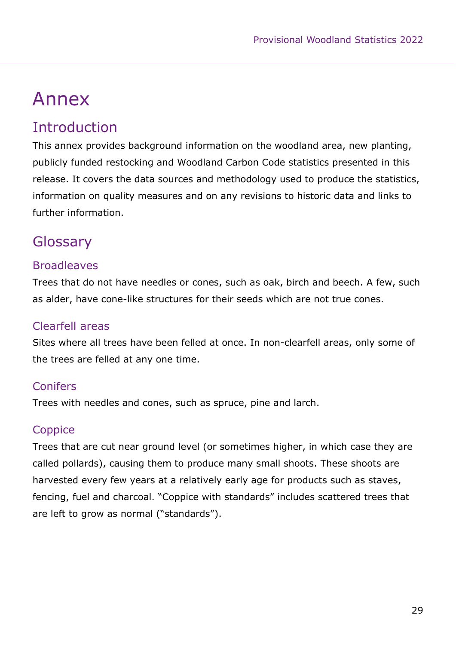# <span id="page-28-0"></span>Annex

### **Introduction**

This annex provides background information on the woodland area, new planting, publicly funded restocking and Woodland Carbon Code statistics presented in this release. It covers the data sources and methodology used to produce the statistics, information on quality measures and on any revisions to historic data and links to further information.

### **Glossary**

#### **Broadleaves**

Trees that do not have needles or cones, such as oak, birch and beech. A few, such as alder, have cone-like structures for their seeds which are not true cones.

#### Clearfell areas

Sites where all trees have been felled at once. In non-clearfell areas, only some of the trees are felled at any one time.

#### **Conifers**

Trees with needles and cones, such as spruce, pine and larch.

#### **Coppice**

Trees that are cut near ground level (or sometimes higher, in which case they are called pollards), causing them to produce many small shoots. These shoots are harvested every few years at a relatively early age for products such as staves, fencing, fuel and charcoal. "Coppice with standards" includes scattered trees that are left to grow as normal ("standards").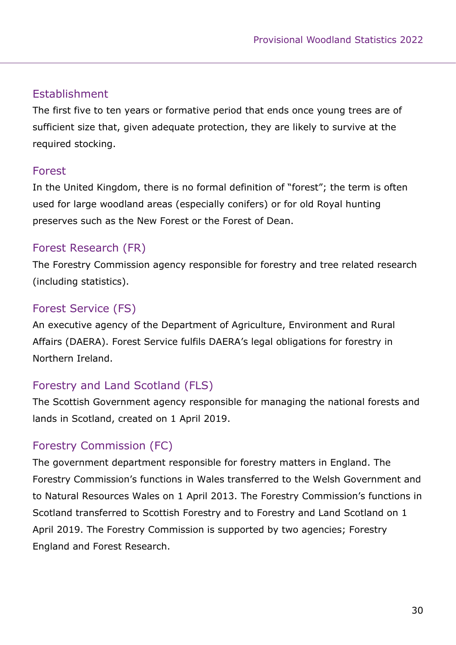#### Establishment

The first five to ten years or formative period that ends once young trees are of sufficient size that, given adequate protection, they are likely to survive at the required stocking.

#### Forest

In the United Kingdom, there is no formal definition of "forest"; the term is often used for large woodland areas (especially conifers) or for old Royal hunting preserves such as the New Forest or the Forest of Dean.

#### Forest Research (FR)

The Forestry Commission agency responsible for forestry and tree related research (including statistics).

#### Forest Service (FS)

An executive agency of the Department of Agriculture, Environment and Rural Affairs (DAERA). Forest Service fulfils DAERA's legal obligations for forestry in Northern Ireland.

#### Forestry and Land Scotland (FLS)

The Scottish Government agency responsible for managing the national forests and lands in Scotland, created on 1 April 2019.

#### Forestry Commission (FC)

The government department responsible for forestry matters in England. The Forestry Commission's functions in Wales transferred to the Welsh Government and to Natural Resources Wales on 1 April 2013. The Forestry Commission's functions in Scotland transferred to Scottish Forestry and to Forestry and Land Scotland on 1 April 2019. The Forestry Commission is supported by two agencies; Forestry England and Forest Research.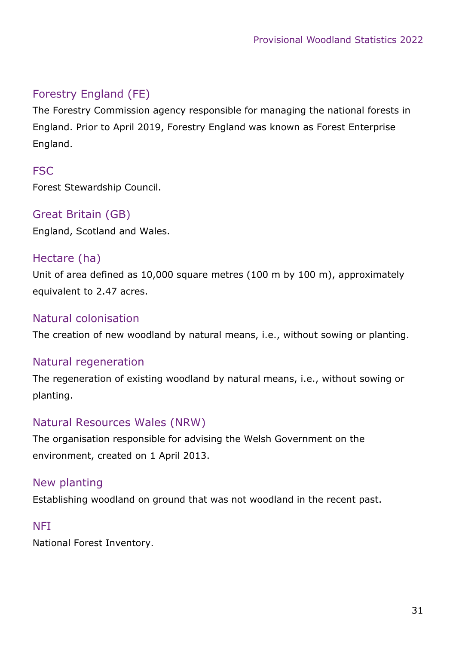#### Forestry England (FE)

The Forestry Commission agency responsible for managing the national forests in England. Prior to April 2019, Forestry England was known as Forest Enterprise England.

#### **FSC**

Forest Stewardship Council.

#### Great Britain (GB)

England, Scotland and Wales.

#### Hectare (ha)

Unit of area defined as 10,000 square metres (100 m by 100 m), approximately equivalent to 2.47 acres.

#### Natural colonisation

The creation of new woodland by natural means, i.e., without sowing or planting.

#### Natural regeneration

The regeneration of existing woodland by natural means, i.e., without sowing or planting.

#### Natural Resources Wales (NRW)

The organisation responsible for advising the Welsh Government on the environment, created on 1 April 2013.

#### New planting

Establishing woodland on ground that was not woodland in the recent past.

#### **NFI**

National Forest Inventory.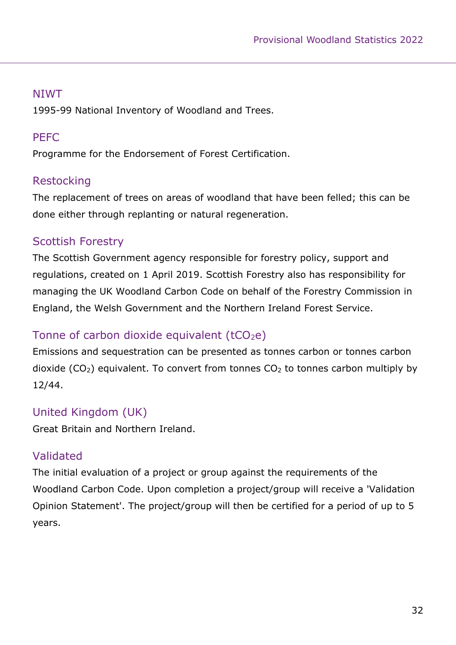#### NIWT

1995-99 National Inventory of Woodland and Trees.

#### PEFC

Programme for the Endorsement of Forest Certification.

#### Restocking

The replacement of trees on areas of woodland that have been felled; this can be done either through replanting or natural regeneration.

#### Scottish Forestry

The Scottish Government agency responsible for forestry policy, support and regulations, created on 1 April 2019. Scottish Forestry also has responsibility for managing the UK Woodland Carbon Code on behalf of the Forestry Commission in England, the Welsh Government and the Northern Ireland Forest Service.

#### Tonne of carbon dioxide equivalent  $(tCO<sub>2</sub>e)$

Emissions and sequestration can be presented as tonnes carbon or tonnes carbon dioxide (CO<sub>2</sub>) equivalent. To convert from tonnes  $CO<sub>2</sub>$  to tonnes carbon multiply by 12/44.

#### United Kingdom (UK)

Great Britain and Northern Ireland.

#### Validated

The initial evaluation of a project or group against the requirements of the Woodland Carbon Code. Upon completion a project/group will receive a 'Validation Opinion Statement'. The project/group will then be certified for a period of up to 5 years.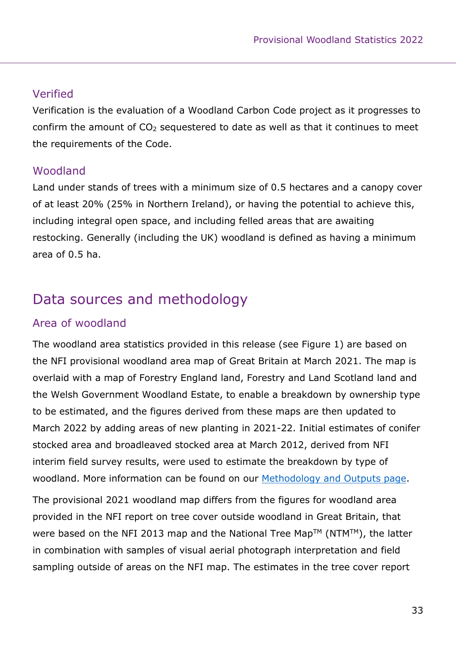#### Verified

Verification is the evaluation of a Woodland Carbon Code project as it progresses to confirm the amount of  $CO<sub>2</sub>$  sequestered to date as well as that it continues to meet the requirements of the Code.

#### Woodland

Land under stands of trees with a minimum size of 0.5 hectares and a canopy cover of at least 20% (25% in Northern Ireland), or having the potential to achieve this, including integral open space, and including felled areas that are awaiting restocking. Generally (including the UK) woodland is defined as having a minimum area of 0.5 ha.

### Data sources and methodology

#### Area of woodland

The woodland area statistics provided in this release (see Figure 1) are based on the NFI provisional woodland area map of Great Britain at March 2021. The map is overlaid with a map of Forestry England land, Forestry and Land Scotland land and the Welsh Government Woodland Estate, to enable a breakdown by ownership type to be estimated, and the figures derived from these maps are then updated to March 2022 by adding areas of new planting in 2021-22. Initial estimates of conifer stocked area and broadleaved stocked area at March 2012, derived from NFI interim field survey results, were used to estimate the breakdown by type of woodland. More information can be found on our [Methodology and Outputs page.](http://www.forestresearch.gov.uk/tools-and-resources/statistics/about-our-statistics/methodology-and-outputs/)

The provisional 2021 woodland map differs from the figures for woodland area provided in the NFI report on tree cover outside woodland in Great Britain, that were based on the NFI 2013 map and the National Tree Map™ (NTM™), the latter in combination with samples of visual aerial photograph interpretation and field sampling outside of areas on the NFI map. The estimates in the tree cover report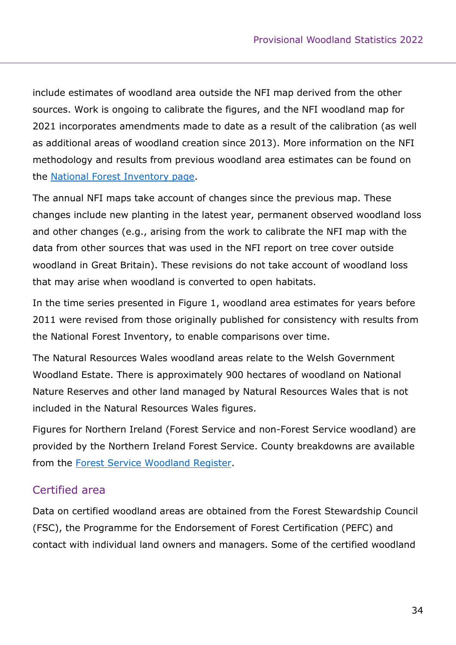include estimates of woodland area outside the NFI map derived from the other sources. Work is ongoing to calibrate the figures, and the NFI woodland map for 2021 incorporates amendments made to date as a result of the calibration (as well as additional areas of woodland creation since 2013). More information on the NFI methodology and results from previous woodland area estimates can be found on the [National Forest Inventory page.](http://www.forestresearch.gov.uk/tools-and-resources/national-forest-inventory/)

The annual NFI maps take account of changes since the previous map. These changes include new planting in the latest year, permanent observed woodland loss and other changes (e.g., arising from the work to calibrate the NFI map with the data from other sources that was used in the NFI report on tree cover outside woodland in Great Britain). These revisions do not take account of woodland loss that may arise when woodland is converted to open habitats.

In the time series presented in Figure 1, woodland area estimates for years before 2011 were revised from those originally published for consistency with results from the National Forest Inventory, to enable comparisons over time.

The Natural Resources Wales woodland areas relate to the Welsh Government Woodland Estate. There is approximately 900 hectares of woodland on National Nature Reserves and other land managed by Natural Resources Wales that is not included in the Natural Resources Wales figures.

Figures for Northern Ireland (Forest Service and non-Forest Service woodland) are provided by the Northern Ireland Forest Service. County breakdowns are available from the [Forest Service Woodland Register.](https://www.daera-ni.gov.uk/publications/woodland-register)

#### Certified area

Data on certified woodland areas are obtained from the Forest Stewardship Council (FSC), the Programme for the Endorsement of Forest Certification (PEFC) and contact with individual land owners and managers. Some of the certified woodland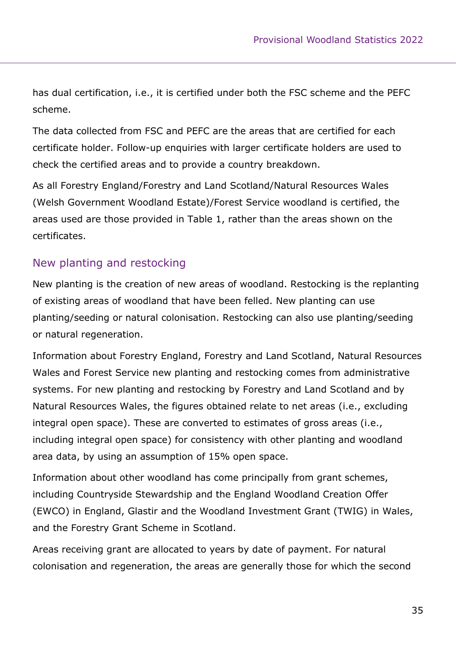has dual certification, i.e., it is certified under both the FSC scheme and the PEFC scheme.

The data collected from FSC and PEFC are the areas that are certified for each certificate holder. Follow-up enquiries with larger certificate holders are used to check the certified areas and to provide a country breakdown.

As all Forestry England/Forestry and Land Scotland/Natural Resources Wales (Welsh Government Woodland Estate)/Forest Service woodland is certified, the areas used are those provided in Table 1, rather than the areas shown on the certificates.

#### New planting and restocking

New planting is the creation of new areas of woodland. Restocking is the replanting of existing areas of woodland that have been felled. New planting can use planting/seeding or natural colonisation. Restocking can also use planting/seeding or natural regeneration.

Information about Forestry England, Forestry and Land Scotland, Natural Resources Wales and Forest Service new planting and restocking comes from administrative systems. For new planting and restocking by Forestry and Land Scotland and by Natural Resources Wales, the figures obtained relate to net areas (i.e., excluding integral open space). These are converted to estimates of gross areas (i.e., including integral open space) for consistency with other planting and woodland area data, by using an assumption of 15% open space.

Information about other woodland has come principally from grant schemes, including Countryside Stewardship and the England Woodland Creation Offer (EWCO) in England, Glastir and the Woodland Investment Grant (TWIG) in Wales, and the Forestry Grant Scheme in Scotland.

Areas receiving grant are allocated to years by date of payment. For natural colonisation and regeneration, the areas are generally those for which the second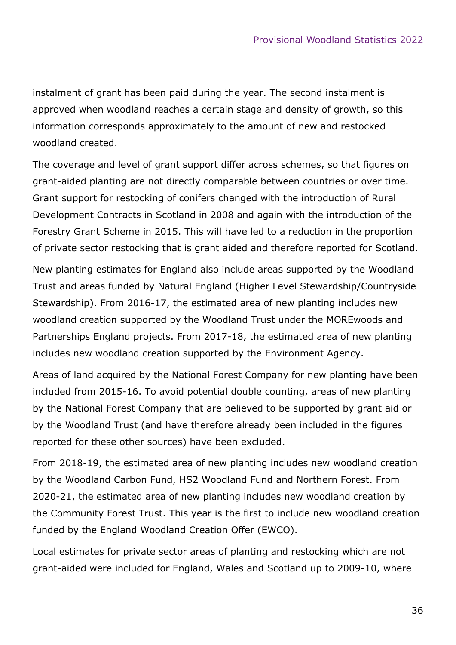instalment of grant has been paid during the year. The second instalment is approved when woodland reaches a certain stage and density of growth, so this information corresponds approximately to the amount of new and restocked woodland created.

The coverage and level of grant support differ across schemes, so that figures on grant-aided planting are not directly comparable between countries or over time. Grant support for restocking of conifers changed with the introduction of Rural Development Contracts in Scotland in 2008 and again with the introduction of the Forestry Grant Scheme in 2015. This will have led to a reduction in the proportion of private sector restocking that is grant aided and therefore reported for Scotland.

New planting estimates for England also include areas supported by the Woodland Trust and areas funded by Natural England (Higher Level Stewardship/Countryside Stewardship). From 2016-17, the estimated area of new planting includes new woodland creation supported by the Woodland Trust under the MOREwoods and Partnerships England projects. From 2017-18, the estimated area of new planting includes new woodland creation supported by the Environment Agency.

Areas of land acquired by the National Forest Company for new planting have been included from 2015-16. To avoid potential double counting, areas of new planting by the National Forest Company that are believed to be supported by grant aid or by the Woodland Trust (and have therefore already been included in the figures reported for these other sources) have been excluded.

From 2018-19, the estimated area of new planting includes new woodland creation by the Woodland Carbon Fund, HS2 Woodland Fund and Northern Forest. From 2020-21, the estimated area of new planting includes new woodland creation by the Community Forest Trust. This year is the first to include new woodland creation funded by the England Woodland Creation Offer (EWCO).

Local estimates for private sector areas of planting and restocking which are not grant-aided were included for England, Wales and Scotland up to 2009-10, where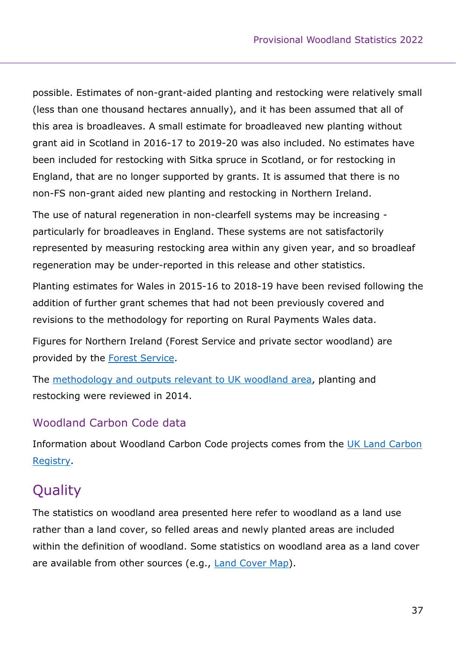possible. Estimates of non-grant-aided planting and restocking were relatively small (less than one thousand hectares annually), and it has been assumed that all of this area is broadleaves. A small estimate for broadleaved new planting without grant aid in Scotland in 2016-17 to 2019-20 was also included. No estimates have been included for restocking with Sitka spruce in Scotland, or for restocking in England, that are no longer supported by grants. It is assumed that there is no non-FS non-grant aided new planting and restocking in Northern Ireland.

The use of natural regeneration in non-clearfell systems may be increasing particularly for broadleaves in England. These systems are not satisfactorily represented by measuring restocking area within any given year, and so broadleaf regeneration may be under-reported in this release and other statistics.

Planting estimates for Wales in 2015-16 to 2018-19 have been revised following the addition of further grant schemes that had not been previously covered and revisions to the methodology for reporting on Rural Payments Wales data.

Figures for Northern Ireland (Forest Service and private sector woodland) are provided by the [Forest Service.](http://www.daera-ni.gov.uk/topics/forestry)

The [methodology and outputs relevant to UK woodland area,](https://www.forestresearch.gov.uk/tools-and-resources/statistics/about-our-statistics/methodology-and-outputs/) planting and restocking were reviewed in 2014.

#### Woodland Carbon Code data

Information about Woodland Carbon Code projects comes from the [UK Land Carbon](https://woodlandcarboncode.org.uk/uk-land-carbon-registry)  [Registry.](https://woodlandcarboncode.org.uk/uk-land-carbon-registry)

### **Quality**

The statistics on woodland area presented here refer to woodland as a land use rather than a land cover, so felled areas and newly planted areas are included within the definition of woodland. Some statistics on woodland area as a land cover are available from other sources (e.g., [Land Cover Map\)](https://countrysidesurvey.org.uk/content/land-cover-map).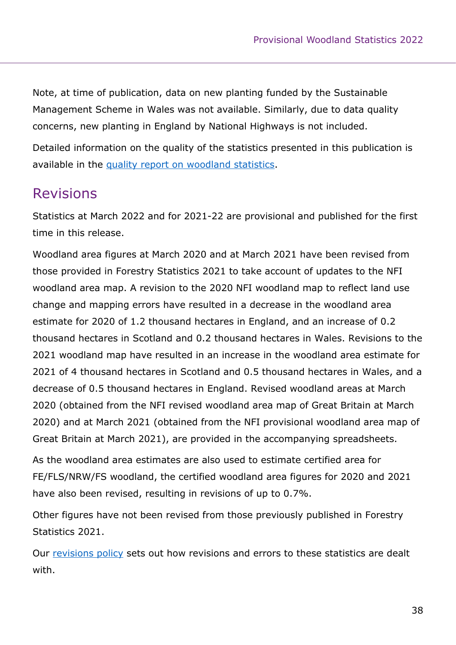Note, at time of publication, data on new planting funded by the Sustainable Management Scheme in Wales was not available. Similarly, due to data quality concerns, new planting in England by National Highways is not included.

Detailed information on the quality of the statistics presented in this publication is available in the quality report on [woodland statistics.](https://www.forestresearch.gov.uk/tools-and-resources/statistics/statistics-by-topic/woodland-statistics/)

### Revisions

Statistics at March 2022 and for 2021-22 are provisional and published for the first time in this release.

Woodland area figures at March 2020 and at March 2021 have been revised from those provided in Forestry Statistics 2021 to take account of updates to the NFI woodland area map. A revision to the 2020 NFI woodland map to reflect land use change and mapping errors have resulted in a decrease in the woodland area estimate for 2020 of 1.2 thousand hectares in England, and an increase of 0.2 thousand hectares in Scotland and 0.2 thousand hectares in Wales. Revisions to the 2021 woodland map have resulted in an increase in the woodland area estimate for 2021 of 4 thousand hectares in Scotland and 0.5 thousand hectares in Wales, and a decrease of 0.5 thousand hectares in England. Revised woodland areas at March 2020 (obtained from the NFI revised woodland area map of Great Britain at March 2020) and at March 2021 (obtained from the NFI provisional woodland area map of Great Britain at March 2021), are provided in the accompanying spreadsheets.

As the woodland area estimates are also used to estimate certified area for FE/FLS/NRW/FS woodland, the certified woodland area figures for 2020 and 2021 have also been revised, resulting in revisions of up to 0.7%.

Other figures have not been revised from those previously published in Forestry Statistics 2021.

Our [revisions policy](http://www.forestresearch.gov.uk/tools-and-resources/statistics/about-our-statistics/code-of-practice/quality-of-official-statistics/) sets out how revisions and errors to these statistics are dealt with.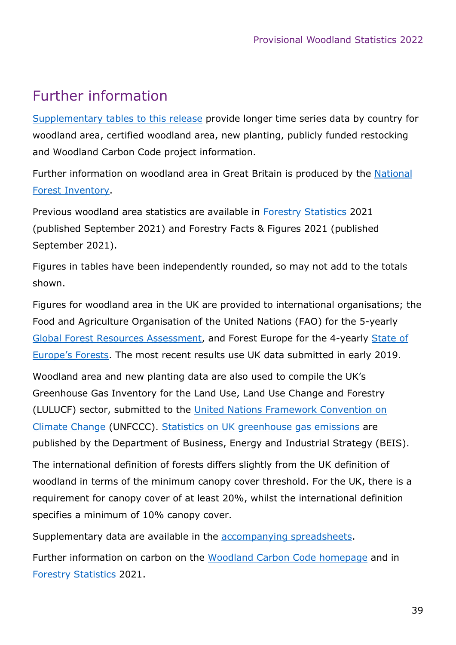### Further information

Supplementary [tables to this release](http://www.forestresearch.gov.uk/tools-and-resources/statistics/statistics-by-topic/woodland-statistics/) provide longer time series data by country for woodland area, certified woodland area, new planting, publicly funded restocking and Woodland Carbon Code project information.

Further information on woodland area in Great Britain is produced by the [National](http://www.forestresearch.gov.uk/tools-and-resources/national-forest-inventory/)  [Forest Inventory.](http://www.forestresearch.gov.uk/tools-and-resources/national-forest-inventory/)

Previous woodland area statistics are available in [Forestry Statistics](http://www.forestresearch.gov.uk/tools-and-resources/statistics/forestry-statistics/) 2021 (published September 2021) and Forestry Facts & Figures 2021 (published September 2021).

Figures in tables have been independently rounded, so may not add to the totals shown.

Figures for woodland area in the UK are provided to international organisations; the Food and Agriculture Organisation of the United Nations (FAO) for the 5-yearly [Global Forest Resources Assessment,](http://www.fao.org/forestry/fra/en) and Forest Europe for the 4-yearly [State of](https://foresteurope.org/publications/)  [Europe's Forests](https://foresteurope.org/publications/). The most recent results use UK data submitted in early 2019.

Woodland area and new planting data are also used to compile the UK's Greenhouse Gas Inventory for the Land Use, Land Use Change and Forestry (LULUCF) sector, submitted to the [United Nations Framework Convention on](https://unfccc.int/)  [Climate Change](https://unfccc.int/) (UNFCCC). [Statistics on UK greenhouse gas emissions](http://www.gov.uk/government/collections/uk-greenhouse-gas-emissions-statistics) are published by the Department of Business, Energy and Industrial Strategy (BEIS).

The international definition of forests differs slightly from the UK definition of woodland in terms of the minimum canopy cover threshold. For the UK, there is a requirement for canopy cover of at least 20%, whilst the international definition specifies a minimum of 10% canopy cover.

Supplementary data are available in the [accompanying spreadsheets.](http://www.forestresearch.gov.uk/tools-and-resources/statistics/statistics-by-topic/woodland-statistics/)

Further information on carbon on the [Woodland Carbon Code homepage](http://www.woodlandcarboncode.org.uk/) and in [Forestry Statistics](http://www.forestresearch.gov.uk/tools-and-resources/statistics/forestry-statistics/) 2021.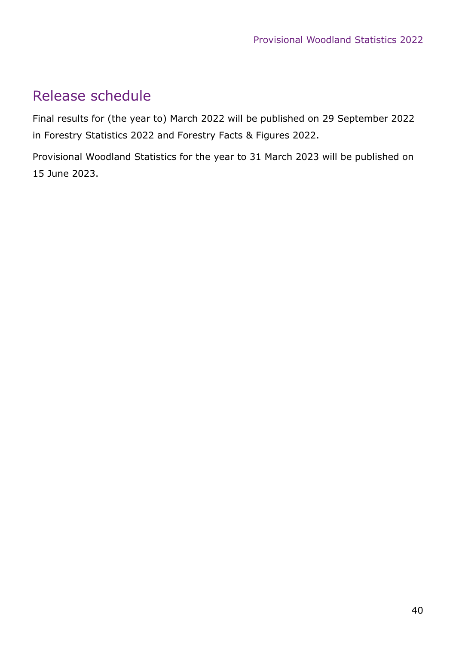### Release schedule

Final results for (the year to) March 2022 will be published on 29 September 2022 in Forestry Statistics 2022 and Forestry Facts & Figures 2022.

Provisional Woodland Statistics for the year to 31 March 2023 will be published on 15 June 2023.